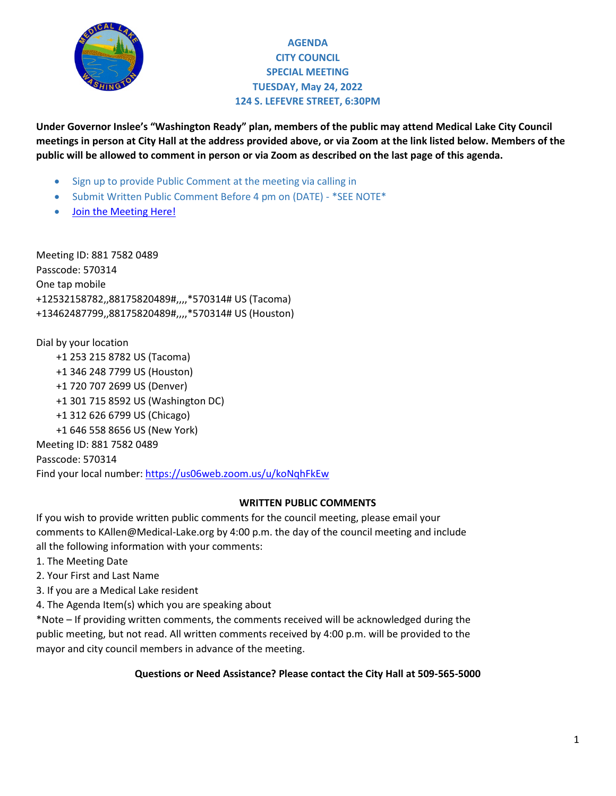

# **AGENDA CITY COUNCIL SPECIAL MEETING TUESDAY, May 24, 2022 124 S. LEFEVRE STREET, 6:30PM**

**Under Governor Inslee's "Washington Ready" plan, members of the public may attend Medical Lake City Council meetings in person at City Hall at the address provided above, or via Zoom at the link listed below. Members of the public will be allowed to comment in person or via Zoom as described on the last page of this agenda.**

- Sign up to provide Public Comment at the meeting via calling in
- Submit Written Public Comment Before 4 pm on (DATE) \*SEE NOTE\*
- [Join the Meeting Here!](https://us06web.zoom.us/j/88698720654?pwd=enVKOGlVcHlWRjNTcWQ3L0dON3F3Zz09)

Meeting ID: 881 7582 0489 Passcode: 570314 One tap mobile +12532158782,,88175820489#,,,,\*570314# US (Tacoma) +13462487799,,88175820489#,,,,\*570314# US (Houston)

Dial by your location

 +1 253 215 8782 US (Tacoma) +1 346 248 7799 US (Houston) +1 720 707 2699 US (Denver) +1 301 715 8592 US (Washington DC) +1 312 626 6799 US (Chicago) +1 646 558 8656 US (New York) Meeting ID: 881 7582 0489 Passcode: 570314 Find your local number[: https://us06web.zoom.us/u/koNqhFkEw](https://us06web.zoom.us/u/koNqhFkEw)

# **WRITTEN PUBLIC COMMENTS**

If you wish to provide written public comments for the council meeting, please email your comments to KAllen@Medical-Lake.org by 4:00 p.m. the day of the council meeting and include all the following information with your comments:

- 1. The Meeting Date
- 2. Your First and Last Name
- 3. If you are a Medical Lake resident
- 4. The Agenda Item(s) which you are speaking about

\*Note – If providing written comments, the comments received will be acknowledged during the public meeting, but not read. All written comments received by 4:00 p.m. will be provided to the mayor and city council members in advance of the meeting.

### **Questions or Need Assistance? Please contact the City Hall at 509-565-5000**